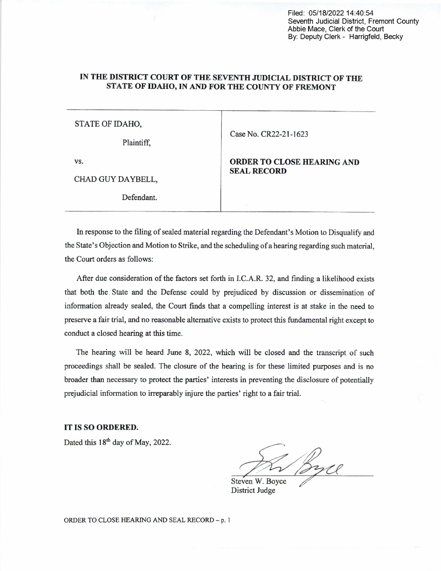Filed: 05/18/2022 14:40:54 Seventh Judicial District, Fremont County Abbie Mace, Clerk of the Court By: Deputy Clerk - Harrigfeld, Becky

## IN THE DISTRICT COURT OF THE SEVENTH JUDICIAL DISTRICT OF THE STATE 0F IDAHO, IN AND FOR THE COUNTY OF FREMONT

## STATE OF IDAHO,

Plaintiff,

Case No. CR22-21-1623

VS.

CHAD GUY DAYBELL,

Defendant.

ORDER TO CLOSE HEARING AND SEAL RECORD

In response to the filing of sealed material regarding the Defendant's Motion to Disqualify and the State's Objection and Motion to Strike, and the scheduling of a hearing regarding such material, the Court orders as follows:

After due consideration of the factors set forth in I.C.A.R. 32, and finding a likelihood exists that both the, State and the Defense could by prejudiced by discussion or dissemination of information already sealed, the Court finds that a compelling interest is at stake in the need to preserve a fair trial, and no reasonable alternative exists to protect this fundamental right except to conduct a closed hearing at this time.

The hearing will be heard June 8, 2022, which will be closed and the transcript of such proceedings shall be sealed. The closure of the hearing is for these limited purposes and is no broader than necessary to protect the parties' interests in preventing the disclosure of potentially prejudicial information to irreparably injure the parties' right to a fair trial.

IT IS SO ORDERED.

Dated this 18<sup>th</sup> day of May, 2022.

Steven W. Boyce By C

ORDER TO CLOSE HEARING AND SEAL RECORD - p. 1